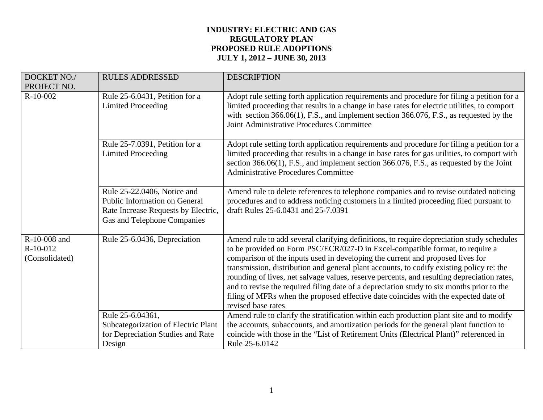| DOCKET NO./<br>PROJECT NO.                   | <b>RULES ADDRESSED</b>                                                                                                             | <b>DESCRIPTION</b>                                                                                                                                                                                                                                                                                                                                                                                                                                                                                                                                                                                                                                               |
|----------------------------------------------|------------------------------------------------------------------------------------------------------------------------------------|------------------------------------------------------------------------------------------------------------------------------------------------------------------------------------------------------------------------------------------------------------------------------------------------------------------------------------------------------------------------------------------------------------------------------------------------------------------------------------------------------------------------------------------------------------------------------------------------------------------------------------------------------------------|
| $R-10-002$                                   | Rule 25-6.0431, Petition for a<br><b>Limited Proceeding</b>                                                                        | Adopt rule setting forth application requirements and procedure for filing a petition for a<br>limited proceeding that results in a change in base rates for electric utilities, to comport<br>with section $366.06(1)$ , F.S., and implement section $366.076$ , F.S., as requested by the<br>Joint Administrative Procedures Committee                                                                                                                                                                                                                                                                                                                         |
|                                              | Rule 25-7.0391, Petition for a<br><b>Limited Proceeding</b>                                                                        | Adopt rule setting forth application requirements and procedure for filing a petition for a<br>limited proceeding that results in a change in base rates for gas utilities, to comport with<br>section 366.06(1), F.S., and implement section 366.076, F.S., as requested by the Joint<br><b>Administrative Procedures Committee</b>                                                                                                                                                                                                                                                                                                                             |
|                                              | Rule 25-22.0406, Notice and<br>Public Information on General<br>Rate Increase Requests by Electric,<br>Gas and Telephone Companies | Amend rule to delete references to telephone companies and to revise outdated noticing<br>procedures and to address noticing customers in a limited proceeding filed pursuant to<br>draft Rules 25-6.0431 and 25-7.0391                                                                                                                                                                                                                                                                                                                                                                                                                                          |
| R-10-008 and<br>$R-10-012$<br>(Consolidated) | Rule 25-6.0436, Depreciation                                                                                                       | Amend rule to add several clarifying definitions, to require depreciation study schedules<br>to be provided on Form PSC/ECR/027-D in Excel-compatible format, to require a<br>comparison of the inputs used in developing the current and proposed lives for<br>transmission, distribution and general plant accounts, to codify existing policy re: the<br>rounding of lives, net salvage values, reserve percents, and resulting depreciation rates,<br>and to revise the required filing date of a depreciation study to six months prior to the<br>filing of MFRs when the proposed effective date coincides with the expected date of<br>revised base rates |
|                                              | Rule 25-6.04361,<br>Subcategorization of Electric Plant<br>for Depreciation Studies and Rate<br>Design                             | Amend rule to clarify the stratification within each production plant site and to modify<br>the accounts, subaccounts, and amortization periods for the general plant function to<br>coincide with those in the "List of Retirement Units (Electrical Plant)" referenced in<br>Rule 25-6.0142                                                                                                                                                                                                                                                                                                                                                                    |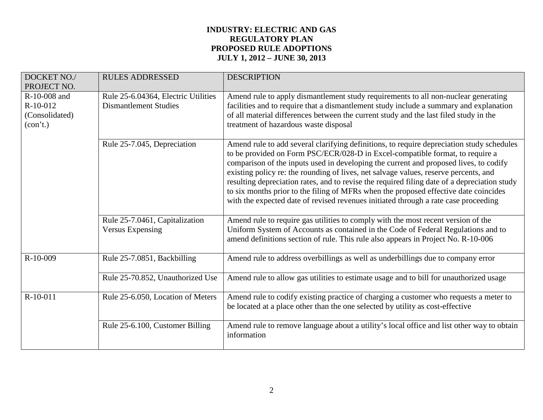| DOCKET NO./<br>PROJECT NO.                                               | <b>RULES ADDRESSED</b>                                              | <b>DESCRIPTION</b>                                                                                                                                                                                                                                                                                                                                                                                                                                                                                                                                                                                                                         |
|--------------------------------------------------------------------------|---------------------------------------------------------------------|--------------------------------------------------------------------------------------------------------------------------------------------------------------------------------------------------------------------------------------------------------------------------------------------------------------------------------------------------------------------------------------------------------------------------------------------------------------------------------------------------------------------------------------------------------------------------------------------------------------------------------------------|
| R-10-008 and<br>R-10-012<br>(Consolidated)<br>$(\text{con}^{\dagger}t.)$ | Rule 25-6.04364, Electric Utilities<br><b>Dismantlement Studies</b> | Amend rule to apply dismantlement study requirements to all non-nuclear generating<br>facilities and to require that a dismantlement study include a summary and explanation<br>of all material differences between the current study and the last filed study in the<br>treatment of hazardous waste disposal                                                                                                                                                                                                                                                                                                                             |
|                                                                          | Rule 25-7.045, Depreciation                                         | Amend rule to add several clarifying definitions, to require depreciation study schedules<br>to be provided on Form PSC/ECR/028-D in Excel-compatible format, to require a<br>comparison of the inputs used in developing the current and proposed lives, to codify<br>existing policy re: the rounding of lives, net salvage values, reserve percents, and<br>resulting depreciation rates, and to revise the required filing date of a depreciation study<br>to six months prior to the filing of MFRs when the proposed effective date coincides<br>with the expected date of revised revenues initiated through a rate case proceeding |
|                                                                          | Rule 25-7.0461, Capitalization<br>Versus Expensing                  | Amend rule to require gas utilities to comply with the most recent version of the<br>Uniform System of Accounts as contained in the Code of Federal Regulations and to<br>amend definitions section of rule. This rule also appears in Project No. R-10-006                                                                                                                                                                                                                                                                                                                                                                                |
| $R-10-009$                                                               | Rule 25-7.0851, Backbilling                                         | Amend rule to address overbillings as well as underbillings due to company error                                                                                                                                                                                                                                                                                                                                                                                                                                                                                                                                                           |
|                                                                          | Rule 25-70.852, Unauthorized Use                                    | Amend rule to allow gas utilities to estimate usage and to bill for unauthorized usage                                                                                                                                                                                                                                                                                                                                                                                                                                                                                                                                                     |
| $R-10-011$                                                               | Rule 25-6.050, Location of Meters                                   | Amend rule to codify existing practice of charging a customer who requests a meter to<br>be located at a place other than the one selected by utility as cost-effective                                                                                                                                                                                                                                                                                                                                                                                                                                                                    |
|                                                                          | Rule 25-6.100, Customer Billing                                     | Amend rule to remove language about a utility's local office and list other way to obtain<br>information                                                                                                                                                                                                                                                                                                                                                                                                                                                                                                                                   |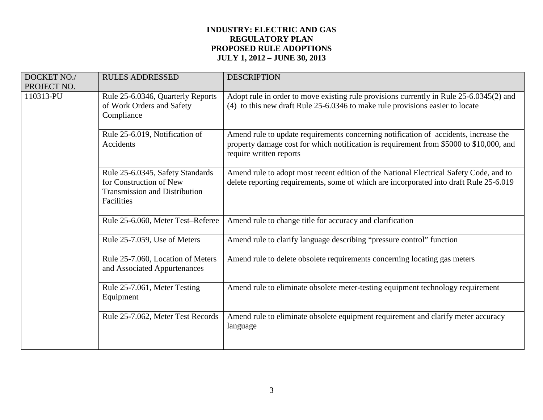| DOCKET NO./<br>PROJECT NO. | <b>RULES ADDRESSED</b>                                                                                            | <b>DESCRIPTION</b>                                                                                                                                                                                         |
|----------------------------|-------------------------------------------------------------------------------------------------------------------|------------------------------------------------------------------------------------------------------------------------------------------------------------------------------------------------------------|
| 110313-PU                  | Rule 25-6.0346, Quarterly Reports<br>of Work Orders and Safety<br>Compliance                                      | Adopt rule in order to move existing rule provisions currently in Rule 25-6.0345(2) and<br>(4) to this new draft Rule 25-6.0346 to make rule provisions easier to locate                                   |
|                            | Rule 25-6.019, Notification of<br>Accidents                                                                       | Amend rule to update requirements concerning notification of accidents, increase the<br>property damage cost for which notification is requirement from \$5000 to \$10,000, and<br>require written reports |
|                            | Rule 25-6.0345, Safety Standards<br>for Construction of New<br><b>Transmission and Distribution</b><br>Facilities | Amend rule to adopt most recent edition of the National Electrical Safety Code, and to<br>delete reporting requirements, some of which are incorporated into draft Rule 25-6.019                           |
|                            | Rule 25-6.060, Meter Test-Referee                                                                                 | Amend rule to change title for accuracy and clarification                                                                                                                                                  |
|                            | Rule 25-7.059, Use of Meters                                                                                      | Amend rule to clarify language describing "pressure control" function                                                                                                                                      |
|                            | Rule 25-7.060, Location of Meters<br>and Associated Appurtenances                                                 | Amend rule to delete obsolete requirements concerning locating gas meters                                                                                                                                  |
|                            | Rule 25-7.061, Meter Testing<br>Equipment                                                                         | Amend rule to eliminate obsolete meter-testing equipment technology requirement                                                                                                                            |
|                            | Rule 25-7.062, Meter Test Records                                                                                 | Amend rule to eliminate obsolete equipment requirement and clarify meter accuracy<br>language                                                                                                              |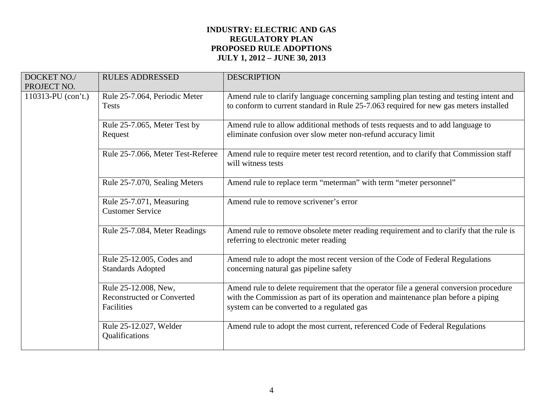| DOCKET NO./<br>PROJECT NO. | <b>RULES ADDRESSED</b>                                                  | <b>DESCRIPTION</b>                                                                                                                                                                                                        |
|----------------------------|-------------------------------------------------------------------------|---------------------------------------------------------------------------------------------------------------------------------------------------------------------------------------------------------------------------|
| $110313$ -PU (con't.)      | Rule 25-7.064, Periodic Meter<br><b>Tests</b>                           | Amend rule to clarify language concerning sampling plan testing and testing intent and<br>to conform to current standard in Rule 25-7.063 required for new gas meters installed                                           |
|                            | Rule 25-7.065, Meter Test by<br>Request                                 | Amend rule to allow additional methods of tests requests and to add language to<br>eliminate confusion over slow meter non-refund accuracy limit                                                                          |
|                            | Rule 25-7.066, Meter Test-Referee                                       | Amend rule to require meter test record retention, and to clarify that Commission staff<br>will witness tests                                                                                                             |
|                            | Rule 25-7.070, Sealing Meters                                           | Amend rule to replace term "meterman" with term "meter personnel"                                                                                                                                                         |
|                            | Rule 25-7.071, Measuring<br><b>Customer Service</b>                     | Amend rule to remove scrivener's error                                                                                                                                                                                    |
|                            | Rule 25-7.084, Meter Readings                                           | Amend rule to remove obsolete meter reading requirement and to clarify that the rule is<br>referring to electronic meter reading                                                                                          |
|                            | Rule 25-12.005, Codes and<br><b>Standards Adopted</b>                   | Amend rule to adopt the most recent version of the Code of Federal Regulations<br>concerning natural gas pipeline safety                                                                                                  |
|                            | Rule 25-12.008, New,<br><b>Reconstructed or Converted</b><br>Facilities | Amend rule to delete requirement that the operator file a general conversion procedure<br>with the Commission as part of its operation and maintenance plan before a piping<br>system can be converted to a regulated gas |
|                            | Rule 25-12.027, Welder<br>Qualifications                                | Amend rule to adopt the most current, referenced Code of Federal Regulations                                                                                                                                              |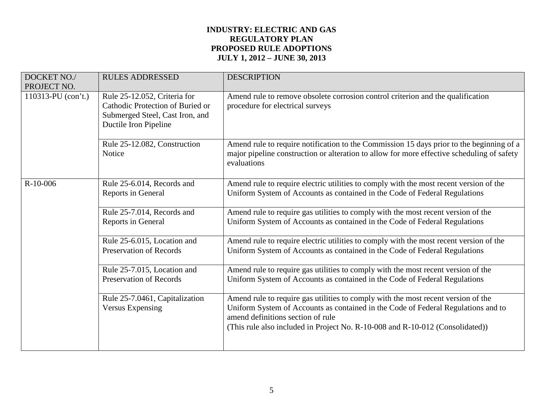| DOCKET NO./<br>PROJECT NO. | <b>RULES ADDRESSED</b>                                                                                                       | <b>DESCRIPTION</b>                                                                                                                                                                                                                                                                           |
|----------------------------|------------------------------------------------------------------------------------------------------------------------------|----------------------------------------------------------------------------------------------------------------------------------------------------------------------------------------------------------------------------------------------------------------------------------------------|
| $110313$ -PU (con't.)      | Rule 25-12.052, Criteria for<br>Cathodic Protection of Buried or<br>Submerged Steel, Cast Iron, and<br>Ductile Iron Pipeline | Amend rule to remove obsolete corrosion control criterion and the qualification<br>procedure for electrical surveys                                                                                                                                                                          |
|                            | Rule 25-12.082, Construction<br><b>Notice</b>                                                                                | Amend rule to require notification to the Commission 15 days prior to the beginning of a<br>major pipeline construction or alteration to allow for more effective scheduling of safety<br>evaluations                                                                                        |
| $R-10-006$                 | Rule 25-6.014, Records and<br>Reports in General                                                                             | Amend rule to require electric utilities to comply with the most recent version of the<br>Uniform System of Accounts as contained in the Code of Federal Regulations                                                                                                                         |
|                            | Rule 25-7.014, Records and<br>Reports in General                                                                             | Amend rule to require gas utilities to comply with the most recent version of the<br>Uniform System of Accounts as contained in the Code of Federal Regulations                                                                                                                              |
|                            | Rule 25-6.015, Location and<br><b>Preservation of Records</b>                                                                | Amend rule to require electric utilities to comply with the most recent version of the<br>Uniform System of Accounts as contained in the Code of Federal Regulations                                                                                                                         |
|                            | Rule 25-7.015, Location and<br><b>Preservation of Records</b>                                                                | Amend rule to require gas utilities to comply with the most recent version of the<br>Uniform System of Accounts as contained in the Code of Federal Regulations                                                                                                                              |
|                            | Rule 25-7.0461, Capitalization<br><b>Versus Expensing</b>                                                                    | Amend rule to require gas utilities to comply with the most recent version of the<br>Uniform System of Accounts as contained in the Code of Federal Regulations and to<br>amend definitions section of rule<br>(This rule also included in Project No. R-10-008 and R-10-012 (Consolidated)) |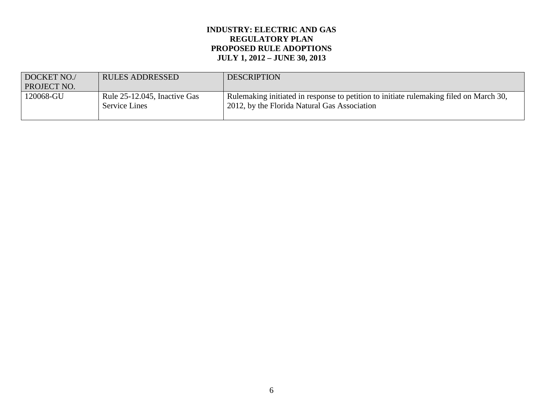| DOCKET NO./ | <b>RULES ADDRESSED</b>                               | <b>DESCRIPTION</b>                                                                                                                     |
|-------------|------------------------------------------------------|----------------------------------------------------------------------------------------------------------------------------------------|
| PROJECT NO. |                                                      |                                                                                                                                        |
| 120068-GU   | Rule 25-12.045, Inactive Gas<br><b>Service Lines</b> | Rulemaking initiated in response to petition to initiate rulemaking filed on March 30,<br>2012, by the Florida Natural Gas Association |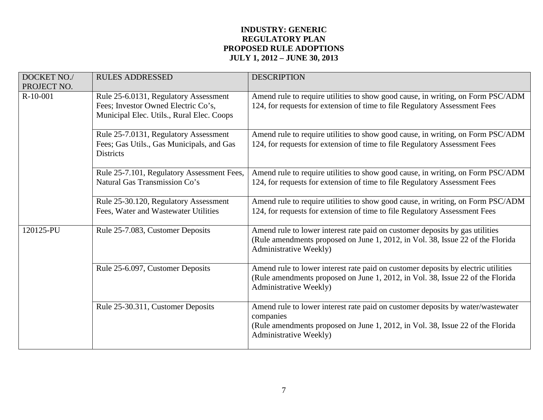| DOCKET NO./<br>PROJECT NO. | <b>RULES ADDRESSED</b>                                                                                                    | <b>DESCRIPTION</b>                                                                                                                                                                                       |
|----------------------------|---------------------------------------------------------------------------------------------------------------------------|----------------------------------------------------------------------------------------------------------------------------------------------------------------------------------------------------------|
| $R-10-001$                 | Rule 25-6.0131, Regulatory Assessment<br>Fees; Investor Owned Electric Co's,<br>Municipal Elec. Utils., Rural Elec. Coops | Amend rule to require utilities to show good cause, in writing, on Form PSC/ADM<br>124, for requests for extension of time to file Regulatory Assessment Fees                                            |
|                            | Rule 25-7.0131, Regulatory Assessment<br>Fees; Gas Utils., Gas Municipals, and Gas<br><b>Districts</b>                    | Amend rule to require utilities to show good cause, in writing, on Form PSC/ADM<br>124, for requests for extension of time to file Regulatory Assessment Fees                                            |
|                            | Rule 25-7.101, Regulatory Assessment Fees,<br>Natural Gas Transmission Co's                                               | Amend rule to require utilities to show good cause, in writing, on Form PSC/ADM<br>124, for requests for extension of time to file Regulatory Assessment Fees                                            |
|                            | Rule 25-30.120, Regulatory Assessment<br>Fees, Water and Wastewater Utilities                                             | Amend rule to require utilities to show good cause, in writing, on Form PSC/ADM<br>124, for requests for extension of time to file Regulatory Assessment Fees                                            |
| 120125-PU                  | Rule 25-7.083, Customer Deposits                                                                                          | Amend rule to lower interest rate paid on customer deposits by gas utilities<br>(Rule amendments proposed on June 1, 2012, in Vol. 38, Issue 22 of the Florida<br>Administrative Weekly)                 |
|                            | Rule 25-6.097, Customer Deposits                                                                                          | Amend rule to lower interest rate paid on customer deposits by electric utilities<br>(Rule amendments proposed on June 1, 2012, in Vol. 38, Issue 22 of the Florida<br>Administrative Weekly)            |
|                            | Rule 25-30.311, Customer Deposits                                                                                         | Amend rule to lower interest rate paid on customer deposits by water/wastewater<br>companies<br>(Rule amendments proposed on June 1, 2012, in Vol. 38, Issue 22 of the Florida<br>Administrative Weekly) |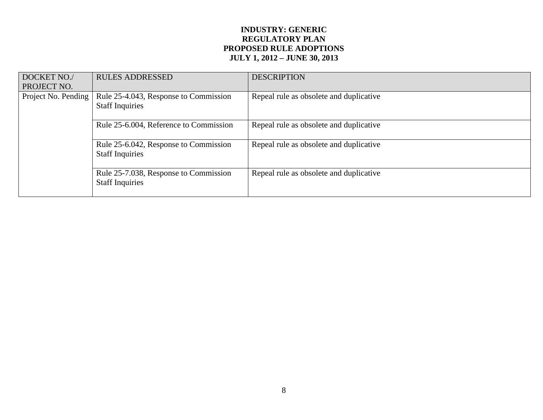| DOCKET NO./<br>PROJECT NO. | <b>RULES ADDRESSED</b>                                          | <b>DESCRIPTION</b>                      |
|----------------------------|-----------------------------------------------------------------|-----------------------------------------|
| Project No. Pending        | Rule 25-4.043, Response to Commission<br><b>Staff Inquiries</b> | Repeal rule as obsolete and duplicative |
|                            | Rule 25-6.004, Reference to Commission                          | Repeal rule as obsolete and duplicative |
|                            | Rule 25-6.042, Response to Commission<br><b>Staff Inquiries</b> | Repeal rule as obsolete and duplicative |
|                            | Rule 25-7.038, Response to Commission<br><b>Staff Inquiries</b> | Repeal rule as obsolete and duplicative |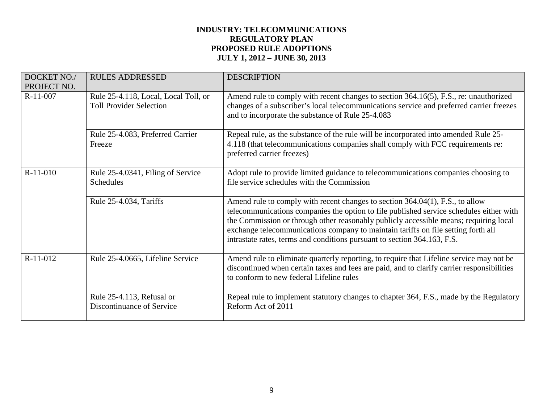| <b>DOCKET NO./</b><br>PROJECT NO. | <b>RULES ADDRESSED</b>                                                 | <b>DESCRIPTION</b>                                                                                                                                                                                                                                                                                                                                                                                                                 |
|-----------------------------------|------------------------------------------------------------------------|------------------------------------------------------------------------------------------------------------------------------------------------------------------------------------------------------------------------------------------------------------------------------------------------------------------------------------------------------------------------------------------------------------------------------------|
| R-11-007                          | Rule 25-4.118, Local, Local Toll, or<br><b>Toll Provider Selection</b> | Amend rule to comply with recent changes to section 364.16(5), F.S., re: unauthorized<br>changes of a subscriber's local telecommunications service and preferred carrier freezes<br>and to incorporate the substance of Rule 25-4.083                                                                                                                                                                                             |
|                                   | Rule 25-4.083, Preferred Carrier<br>Freeze                             | Repeal rule, as the substance of the rule will be incorporated into amended Rule 25-<br>4.118 (that telecommunications companies shall comply with FCC requirements re:<br>preferred carrier freezes)                                                                                                                                                                                                                              |
| R-11-010                          | Rule 25-4.0341, Filing of Service<br>Schedules                         | Adopt rule to provide limited guidance to telecommunications companies choosing to<br>file service schedules with the Commission                                                                                                                                                                                                                                                                                                   |
|                                   | Rule 25-4.034, Tariffs                                                 | Amend rule to comply with recent changes to section 364.04(1), F.S., to allow<br>telecommunications companies the option to file published service schedules either with<br>the Commission or through other reasonably publicly accessible means; requiring local<br>exchange telecommunications company to maintain tariffs on file setting forth all<br>intrastate rates, terms and conditions pursuant to section 364.163, F.S. |
| $R-11-012$                        | Rule 25-4.0665, Lifeline Service                                       | Amend rule to eliminate quarterly reporting, to require that Lifeline service may not be<br>discontinued when certain taxes and fees are paid, and to clarify carrier responsibilities<br>to conform to new federal Lifeline rules                                                                                                                                                                                                 |
|                                   | Rule 25-4.113, Refusal or<br>Discontinuance of Service                 | Repeal rule to implement statutory changes to chapter 364, F.S., made by the Regulatory<br>Reform Act of 2011                                                                                                                                                                                                                                                                                                                      |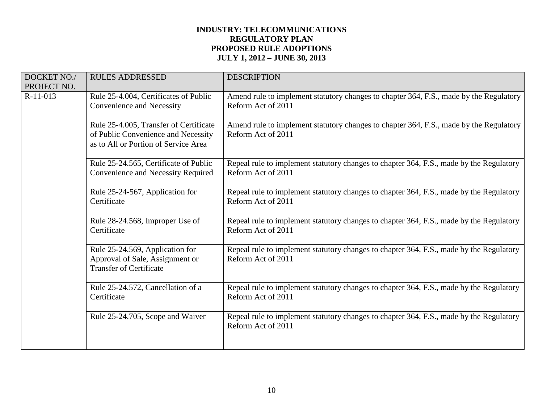| DOCKET NO./<br>PROJECT NO. | <b>RULES ADDRESSED</b>                                                                                                | <b>DESCRIPTION</b>                                                                                            |
|----------------------------|-----------------------------------------------------------------------------------------------------------------------|---------------------------------------------------------------------------------------------------------------|
| $R-11-013$                 | Rule 25-4.004, Certificates of Public<br>Convenience and Necessity                                                    | Amend rule to implement statutory changes to chapter 364, F.S., made by the Regulatory<br>Reform Act of 2011  |
|                            | Rule 25-4.005, Transfer of Certificate<br>of Public Convenience and Necessity<br>as to All or Portion of Service Area | Amend rule to implement statutory changes to chapter 364, F.S., made by the Regulatory<br>Reform Act of 2011  |
|                            | Rule 25-24.565, Certificate of Public<br>Convenience and Necessity Required                                           | Repeal rule to implement statutory changes to chapter 364, F.S., made by the Regulatory<br>Reform Act of 2011 |
|                            | Rule 25-24-567, Application for<br>Certificate                                                                        | Repeal rule to implement statutory changes to chapter 364, F.S., made by the Regulatory<br>Reform Act of 2011 |
|                            | Rule 28-24.568, Improper Use of<br>Certificate                                                                        | Repeal rule to implement statutory changes to chapter 364, F.S., made by the Regulatory<br>Reform Act of 2011 |
|                            | Rule 25-24.569, Application for<br>Approval of Sale, Assignment or<br><b>Transfer of Certificate</b>                  | Repeal rule to implement statutory changes to chapter 364, F.S., made by the Regulatory<br>Reform Act of 2011 |
|                            | Rule 25-24.572, Cancellation of a<br>Certificate                                                                      | Repeal rule to implement statutory changes to chapter 364, F.S., made by the Regulatory<br>Reform Act of 2011 |
|                            | Rule 25-24.705, Scope and Waiver                                                                                      | Repeal rule to implement statutory changes to chapter 364, F.S., made by the Regulatory<br>Reform Act of 2011 |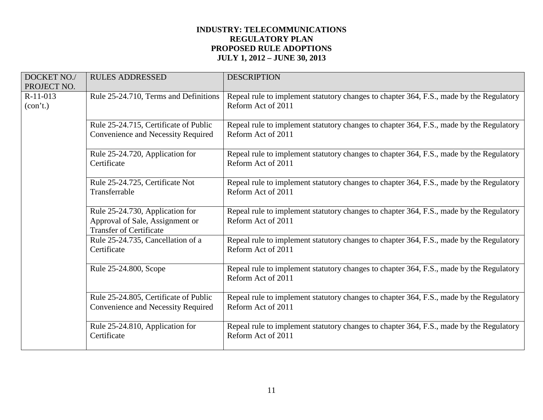| DOCKET NO./<br>PROJECT NO. | <b>RULES ADDRESSED</b>                                                                               | <b>DESCRIPTION</b>                                                                                            |
|----------------------------|------------------------------------------------------------------------------------------------------|---------------------------------------------------------------------------------------------------------------|
| $R-11-013$<br>(con't.)     | Rule 25-24.710, Terms and Definitions                                                                | Repeal rule to implement statutory changes to chapter 364, F.S., made by the Regulatory<br>Reform Act of 2011 |
|                            | Rule 25-24.715, Certificate of Public<br>Convenience and Necessity Required                          | Repeal rule to implement statutory changes to chapter 364, F.S., made by the Regulatory<br>Reform Act of 2011 |
|                            | Rule 25-24.720, Application for<br>Certificate                                                       | Repeal rule to implement statutory changes to chapter 364, F.S., made by the Regulatory<br>Reform Act of 2011 |
|                            | Rule 25-24.725, Certificate Not<br>Transferrable                                                     | Repeal rule to implement statutory changes to chapter 364, F.S., made by the Regulatory<br>Reform Act of 2011 |
|                            | Rule 25-24.730, Application for<br>Approval of Sale, Assignment or<br><b>Transfer of Certificate</b> | Repeal rule to implement statutory changes to chapter 364, F.S., made by the Regulatory<br>Reform Act of 2011 |
|                            | Rule 25-24.735, Cancellation of a<br>Certificate                                                     | Repeal rule to implement statutory changes to chapter 364, F.S., made by the Regulatory<br>Reform Act of 2011 |
|                            | Rule 25-24.800, Scope                                                                                | Repeal rule to implement statutory changes to chapter 364, F.S., made by the Regulatory<br>Reform Act of 2011 |
|                            | Rule 25-24.805, Certificate of Public<br>Convenience and Necessity Required                          | Repeal rule to implement statutory changes to chapter 364, F.S., made by the Regulatory<br>Reform Act of 2011 |
|                            | Rule 25-24.810, Application for<br>Certificate                                                       | Repeal rule to implement statutory changes to chapter 364, F.S., made by the Regulatory<br>Reform Act of 2011 |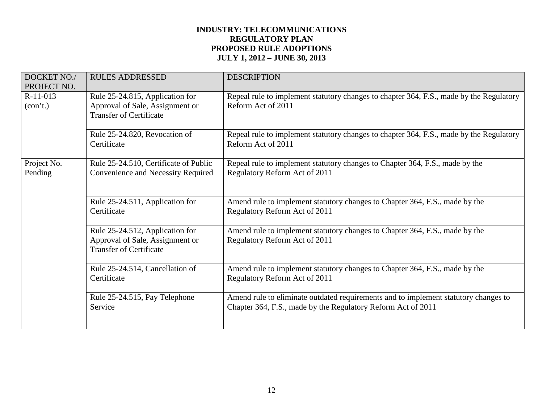| DOCKET NO./<br>PROJECT NO. | <b>RULES ADDRESSED</b>                                                                               | <b>DESCRIPTION</b>                                                                                                                                  |
|----------------------------|------------------------------------------------------------------------------------------------------|-----------------------------------------------------------------------------------------------------------------------------------------------------|
| $R-11-013$<br>(con't.)     | Rule 25-24.815, Application for<br>Approval of Sale, Assignment or<br><b>Transfer of Certificate</b> | Repeal rule to implement statutory changes to chapter 364, F.S., made by the Regulatory<br>Reform Act of 2011                                       |
|                            | Rule 25-24.820, Revocation of<br>Certificate                                                         | Repeal rule to implement statutory changes to chapter 364, F.S., made by the Regulatory<br>Reform Act of 2011                                       |
| Project No.<br>Pending     | Rule 25-24.510, Certificate of Public<br>Convenience and Necessity Required                          | Repeal rule to implement statutory changes to Chapter 364, F.S., made by the<br>Regulatory Reform Act of 2011                                       |
|                            | Rule 25-24.511, Application for<br>Certificate                                                       | Amend rule to implement statutory changes to Chapter 364, F.S., made by the<br>Regulatory Reform Act of 2011                                        |
|                            | Rule 25-24.512, Application for<br>Approval of Sale, Assignment or<br><b>Transfer of Certificate</b> | Amend rule to implement statutory changes to Chapter 364, F.S., made by the<br>Regulatory Reform Act of 2011                                        |
|                            | Rule 25-24.514, Cancellation of<br>Certificate                                                       | Amend rule to implement statutory changes to Chapter 364, F.S., made by the<br>Regulatory Reform Act of 2011                                        |
|                            | Rule 25-24.515, Pay Telephone<br>Service                                                             | Amend rule to eliminate outdated requirements and to implement statutory changes to<br>Chapter 364, F.S., made by the Regulatory Reform Act of 2011 |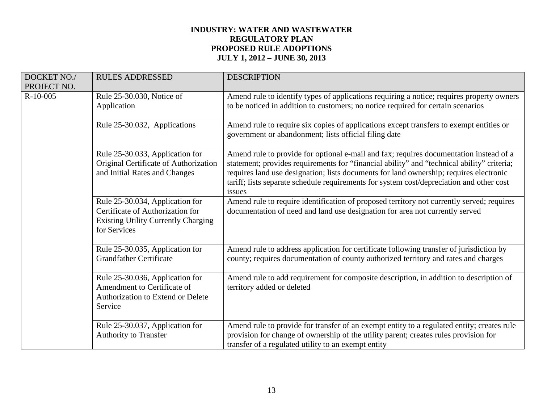# **INDUSTRY: WATER AND WASTEWATER REGULATORY PLAN PROPOSED RULE ADOPTIONS JULY 1, 2012 – JUNE 30, 2013**

| DOCKET NO./<br>PROJECT NO. | <b>RULES ADDRESSED</b>                                                                                                            | <b>DESCRIPTION</b>                                                                                                                                                                                                                                                                                                                                                                   |
|----------------------------|-----------------------------------------------------------------------------------------------------------------------------------|--------------------------------------------------------------------------------------------------------------------------------------------------------------------------------------------------------------------------------------------------------------------------------------------------------------------------------------------------------------------------------------|
| $R-10-005$                 | Rule 25-30.030, Notice of<br>Application                                                                                          | Amend rule to identify types of applications requiring a notice; requires property owners<br>to be noticed in addition to customers; no notice required for certain scenarios                                                                                                                                                                                                        |
|                            | Rule 25-30.032, Applications                                                                                                      | Amend rule to require six copies of applications except transfers to exempt entities or<br>government or abandonment; lists official filing date                                                                                                                                                                                                                                     |
|                            | Rule 25-30.033, Application for<br>Original Certificate of Authorization<br>and Initial Rates and Changes                         | Amend rule to provide for optional e-mail and fax; requires documentation instead of a<br>statement; provides requirements for "financial ability" and "technical ability" criteria;<br>requires land use designation; lists documents for land ownership; requires electronic<br>tariff; lists separate schedule requirements for system cost/depreciation and other cost<br>issues |
|                            | Rule 25-30.034, Application for<br>Certificate of Authorization for<br><b>Existing Utility Currently Charging</b><br>for Services | Amend rule to require identification of proposed territory not currently served; requires<br>documentation of need and land use designation for area not currently served                                                                                                                                                                                                            |
|                            | Rule 25-30.035, Application for<br><b>Grandfather Certificate</b>                                                                 | Amend rule to address application for certificate following transfer of jurisdiction by<br>county; requires documentation of county authorized territory and rates and charges                                                                                                                                                                                                       |
|                            | Rule 25-30.036, Application for<br>Amendment to Certificate of<br>Authorization to Extend or Delete<br>Service                    | Amend rule to add requirement for composite description, in addition to description of<br>territory added or deleted                                                                                                                                                                                                                                                                 |
|                            | Rule 25-30.037, Application for<br><b>Authority to Transfer</b>                                                                   | Amend rule to provide for transfer of an exempt entity to a regulated entity; creates rule<br>provision for change of ownership of the utility parent; creates rules provision for<br>transfer of a regulated utility to an exempt entity                                                                                                                                            |